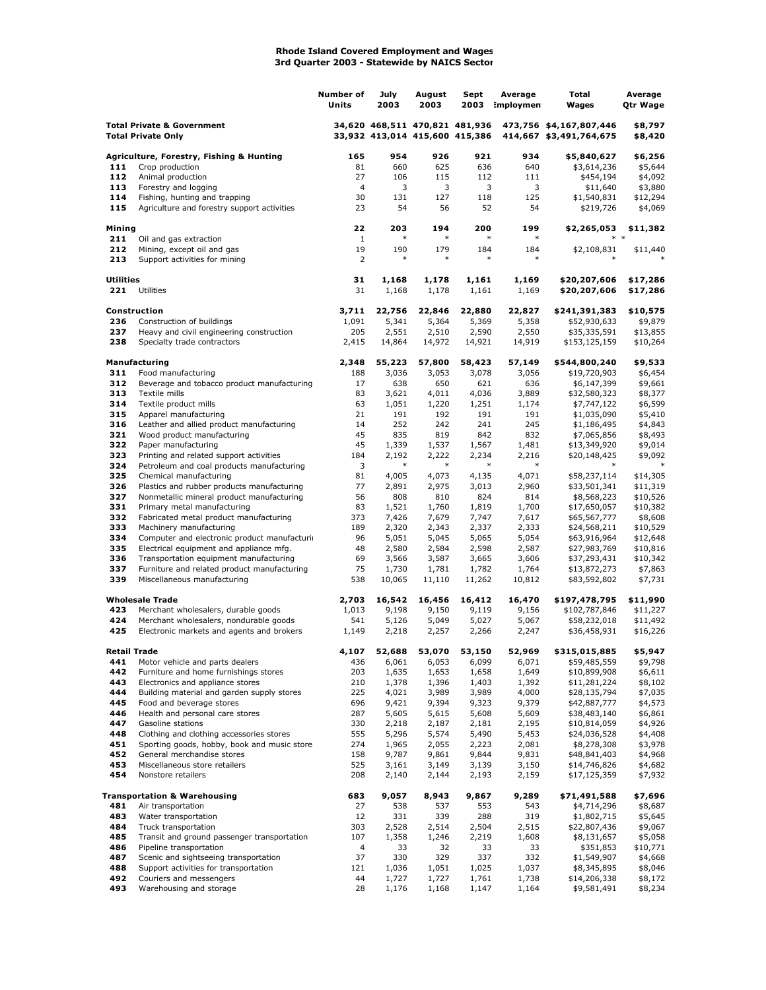## **Rhode Island Covered Employment and Wages 3rd Quarter 2003 - Statewide by NAICS Sector**

|                                                                    |                                                                              | Number of<br>Units | July<br>2003    | August<br>2003                                                   | Sept<br>2003    | Average<br>:mploymen | Total<br>Wages                                     | Average<br><b>Qtr Wage</b> |
|--------------------------------------------------------------------|------------------------------------------------------------------------------|--------------------|-----------------|------------------------------------------------------------------|-----------------|----------------------|----------------------------------------------------|----------------------------|
| <b>Total Private &amp; Government</b><br><b>Total Private Only</b> |                                                                              |                    |                 | 34,620 468,511 470,821 481,936<br>33,932 413,014 415,600 415,386 |                 |                      | 473,756 \$4,167,807,446<br>414,667 \$3,491,764,675 | \$8,797<br>\$8,420         |
|                                                                    | Agriculture, Forestry, Fishing & Hunting                                     | 165                | 954             | 926                                                              | 921             | 934                  | \$5,840,627                                        | \$6,256                    |
| 111                                                                | Crop production                                                              | 81                 | 660             | 625                                                              | 636             | 640                  | \$3,614,236                                        | \$5,644                    |
| 112                                                                | Animal production                                                            | 27                 | 106             | 115                                                              | 112             | 111                  | \$454,194                                          | \$4,092                    |
| 113                                                                | Forestry and logging                                                         | $\overline{4}$     | 3               | 3                                                                | 3               | 3                    | \$11,640                                           | \$3,880                    |
| 114<br>115                                                         | Fishing, hunting and trapping<br>Agriculture and forestry support activities | 30<br>23           | 131<br>54       | 127<br>56                                                        | 118<br>52       | 125<br>54            | \$1,540,831<br>\$219,726                           | \$12,294<br>\$4,069        |
|                                                                    |                                                                              |                    |                 |                                                                  |                 |                      |                                                    |                            |
| Mining                                                             |                                                                              | 22                 | 203             | 194                                                              | 200             | 199                  | \$2,265,053                                        | \$11,382                   |
| 211                                                                | Oil and gas extraction                                                       | 1                  | $\ast$          | $\ast$                                                           | $\ast$          | $\ast$               |                                                    |                            |
| 212                                                                | Mining, except oil and gas                                                   | 19                 | 190             | 179                                                              | 184             | 184                  | \$2,108,831                                        | \$11,440                   |
| 213                                                                | Support activities for mining                                                | 2                  | $\ast$          | $\ast$                                                           | $\ast$          | $\ast$               |                                                    |                            |
| <b>Utilities</b>                                                   |                                                                              | 31                 | 1,168           | 1,178                                                            | 1,161           | 1,169                | \$20,207,606                                       | \$17,286                   |
| 221                                                                | Utilities                                                                    | 31                 | 1,168           | 1,178                                                            | 1,161           | 1,169                | \$20,207,606                                       | \$17,286                   |
|                                                                    |                                                                              |                    |                 |                                                                  |                 |                      |                                                    |                            |
|                                                                    | Construction                                                                 | 3,711              | 22,756          | 22,846                                                           | 22,880          | 22,827               | \$241,391,383                                      | \$10,575                   |
| 236                                                                | Construction of buildings                                                    | 1,091              | 5,341           | 5,364                                                            | 5,369           | 5,358                | \$52,930,633                                       | \$9,879<br>\$13,855        |
| 237<br>238                                                         | Heavy and civil engineering construction<br>Specialty trade contractors      | 205<br>2,415       | 2,551<br>14,864 | 2,510<br>14,972                                                  | 2,590<br>14,921 | 2,550<br>14,919      | \$35,335,591<br>\$153,125,159                      | \$10,264                   |
|                                                                    |                                                                              |                    |                 |                                                                  |                 |                      |                                                    |                            |
|                                                                    | Manufacturing                                                                | 2,348              | 55,223          | 57,800                                                           | 58,423          | 57,149               | \$544,800,240                                      | \$9,533                    |
| 311                                                                | Food manufacturing                                                           | 188                | 3,036           | 3,053                                                            | 3,078           | 3,056                | \$19,720,903                                       | \$6,454                    |
| 312                                                                | Beverage and tobacco product manufacturing                                   | 17                 | 638             | 650                                                              | 621             | 636                  | \$6,147,399                                        | \$9,661                    |
| 313                                                                | Textile mills                                                                | 83                 | 3,621           | 4,011                                                            | 4,036           | 3,889                | \$32,580,323                                       | \$8,377                    |
| 314                                                                | Textile product mills                                                        | 63                 | 1,051           | 1,220                                                            | 1,251           | 1,174                | \$7,747,122                                        | \$6,599                    |
| 315                                                                | Apparel manufacturing                                                        | 21<br>14           | 191<br>252      | 192<br>242                                                       | 191<br>241      | 191<br>245           | \$1,035,090<br>\$1,186,495                         | \$5,410                    |
| 316<br>321                                                         | Leather and allied product manufacturing<br>Wood product manufacturing       | 45                 | 835             | 819                                                              | 842             | 832                  | \$7,065,856                                        | \$4,843<br>\$8,493         |
| 322                                                                | Paper manufacturing                                                          | 45                 | 1,339           | 1,537                                                            | 1,567           | 1,481                | \$13,349,920                                       | \$9,014                    |
| 323                                                                | Printing and related support activities                                      | 184                | 2,192           | 2,222                                                            | 2,234           | 2,216                | \$20,148,425                                       | \$9,092                    |
| 324                                                                | Petroleum and coal products manufacturing                                    | 3                  | $\ast$          | $\ast$                                                           | $\ast$          | $\ast$               |                                                    |                            |
| 325                                                                | Chemical manufacturing                                                       | 81                 | 4,005           | 4,073                                                            | 4,135           | 4,071                | \$58,237,114                                       | \$14,305                   |
| 326                                                                | Plastics and rubber products manufacturing                                   | 77                 | 2,891           | 2,975                                                            | 3,013           | 2,960                | \$33,501,341                                       | \$11,319                   |
| 327                                                                | Nonmetallic mineral product manufacturing                                    | 56                 | 808             | 810                                                              | 824             | 814                  | \$8,568,223                                        | \$10,526                   |
| 331<br>332                                                         | Primary metal manufacturing                                                  | 83<br>373          | 1,521           | 1,760                                                            | 1,819           | 1,700                | \$17,650,057                                       | \$10,382                   |
| 333                                                                | Fabricated metal product manufacturing<br>Machinery manufacturing            | 189                | 7,426<br>2,320  | 7,679<br>2,343                                                   | 7,747<br>2,337  | 7,617<br>2,333       | \$65,567,777<br>\$24,568,211                       | \$8,608<br>\$10,529        |
| 334                                                                | Computer and electronic product manufacturi                                  | 96                 | 5,051           | 5,045                                                            | 5,065           | 5,054                | \$63,916,964                                       | \$12,648                   |
| 335                                                                | Electrical equipment and appliance mfg.                                      | 48                 | 2,580           | 2,584                                                            | 2,598           | 2,587                | \$27,983,769                                       | \$10,816                   |
| 336                                                                | Transportation equipment manufacturing                                       | 69                 | 3,566           | 3,587                                                            | 3,665           | 3,606                | \$37,293,431                                       | \$10,342                   |
| 337                                                                | Furniture and related product manufacturing                                  | 75                 | 1,730           | 1,781                                                            | 1,782           | 1,764                | \$13,872,273                                       | \$7,863                    |
| 339                                                                | Miscellaneous manufacturing                                                  | 538                | 10,065          | 11,110                                                           | 11,262          | 10,812               | \$83,592,802                                       | \$7,731                    |
|                                                                    | <b>Wholesale Trade</b>                                                       | 2,703              | 16,542          | 16,456                                                           | 16,412          | 16,470               | \$197,478,795                                      | \$11,990                   |
| 423                                                                | Merchant wholesalers, durable goods                                          | 1,013              | 9,198           | 9,150                                                            | 9,119           | 9,156                | \$102,787,846                                      | \$11,227                   |
| 424                                                                | Merchant wholesalers, nondurable goods                                       | 541                | 5,126           | 5,049                                                            | 5,027           | 5,067                | \$58,232,018                                       | \$11,492                   |
| 425                                                                | Electronic markets and agents and brokers                                    | 1,149              | 2,218           | 2,257                                                            | 2,266           | 2,247                | \$36,458,931                                       | \$16,226                   |
|                                                                    |                                                                              |                    |                 |                                                                  |                 |                      |                                                    |                            |
| Retail Trade                                                       |                                                                              | 4,107              | 52,688          | 53,070                                                           | 53,150          | 52,969               | \$315,015,885                                      | \$5,947                    |
| 441<br>442                                                         | Motor vehicle and parts dealers                                              | 436                | 6,061           | 6,053                                                            | 6,099           | 6,071<br>1,649       | \$59,485,559                                       | \$9,798                    |
| 443                                                                | Furniture and home furnishings stores<br>Electronics and appliance stores    | 203<br>210         | 1,635<br>1,378  | 1,653<br>1,396                                                   | 1,658<br>1,403  | 1,392                | \$10,899,908<br>\$11,281,224                       | \$6,611<br>\$8,102         |
| 444                                                                | Building material and garden supply stores                                   | 225                | 4,021           | 3,989                                                            | 3,989           | 4,000                | \$28,135,794                                       | \$7,035                    |
| 445                                                                | Food and beverage stores                                                     | 696                | 9,421           | 9,394                                                            | 9,323           | 9,379                | \$42,887,777                                       | \$4,573                    |
| 446                                                                | Health and personal care stores                                              | 287                | 5,605           | 5,615                                                            | 5,608           | 5,609                | \$38,483,140                                       | \$6,861                    |
| 447                                                                | Gasoline stations                                                            | 330                | 2,218           | 2,187                                                            | 2,181           | 2,195                | \$10,814,059                                       | \$4,926                    |
| 448                                                                | Clothing and clothing accessories stores                                     | 555                | 5,296           | 5,574                                                            | 5,490           | 5,453                | \$24,036,528                                       | \$4,408                    |
| 451                                                                | Sporting goods, hobby, book and music store                                  | 274                | 1,965           | 2,055                                                            | 2,223           | 2,081                | \$8,278,308                                        | \$3,978                    |
| 452                                                                | General merchandise stores                                                   | 158                | 9,787           | 9,861                                                            | 9,844           | 9,831                | \$48,841,403                                       | \$4,968                    |
| 453<br>454                                                         | Miscellaneous store retailers<br>Nonstore retailers                          | 525<br>208         | 3,161<br>2,140  | 3,149<br>2,144                                                   | 3,139<br>2,193  | 3,150<br>2,159       | \$14,746,826<br>\$17,125,359                       | \$4,682<br>\$7,932         |
|                                                                    |                                                                              |                    |                 |                                                                  |                 |                      |                                                    |                            |
|                                                                    | Transportation & Warehousing                                                 | 683                | 9,057           | 8,943                                                            | 9,867           | 9,289                | \$71,491,588                                       | \$7,696                    |
| 481                                                                | Air transportation                                                           | 27                 | 538             | 537                                                              | 553             | 543                  | \$4,714,296                                        | \$8,687                    |
| 483                                                                | Water transportation                                                         | 12                 | 331             | 339                                                              | 288             | 319                  | \$1,802,715                                        | \$5,645                    |
| 484                                                                | Truck transportation                                                         | 303                | 2,528           | 2,514                                                            | 2,504           | 2,515                | \$22,807,436                                       | \$9,067                    |
| 485                                                                | Transit and ground passenger transportation                                  | 107                | 1,358           | 1,246                                                            | 2,219           | 1,608                | \$8,131,657                                        | \$5,058                    |
| 486<br>487                                                         | Pipeline transportation<br>Scenic and sightseeing transportation             | 4<br>37            | 33<br>330       | 32<br>329                                                        | 33<br>337       | 33<br>332            | \$351,853<br>\$1,549,907                           | \$10,771<br>\$4,668        |
| 488                                                                | Support activities for transportation                                        | 121                | 1,036           | 1,051                                                            | 1,025           | 1,037                | \$8,345,895                                        | \$8,046                    |
| 492                                                                | Couriers and messengers                                                      | 44                 | 1,727           | 1,727                                                            | 1,761           | 1,738                | \$14,206,338                                       | \$8,172                    |
| 493                                                                | Warehousing and storage                                                      | 28                 | 1,176           | 1,168                                                            | 1,147           | 1,164                | \$9,581,491                                        | \$8,234                    |